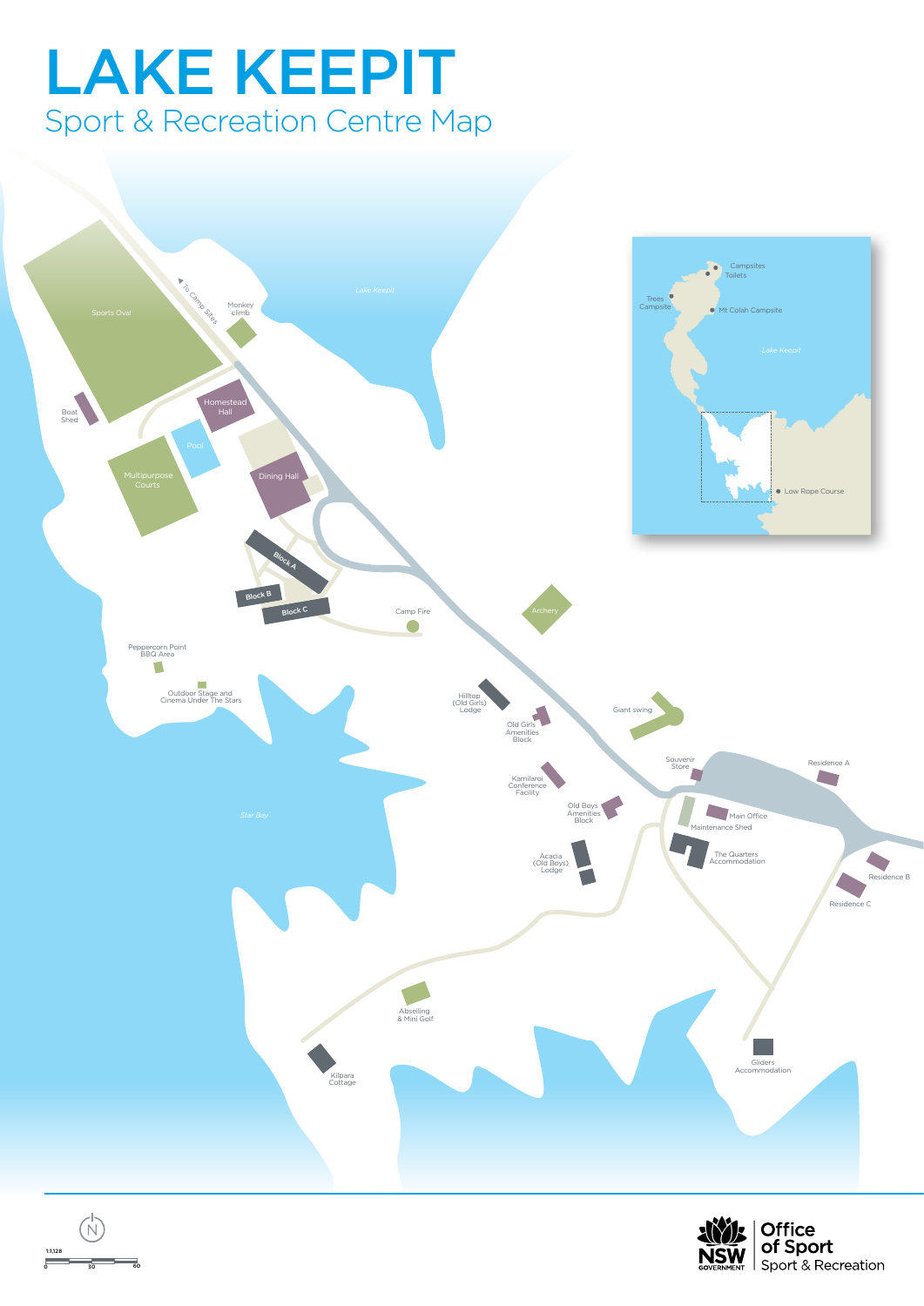## LAKE KEEPIT Sport & Recreation Centre Map



0 30 60

1:1,128

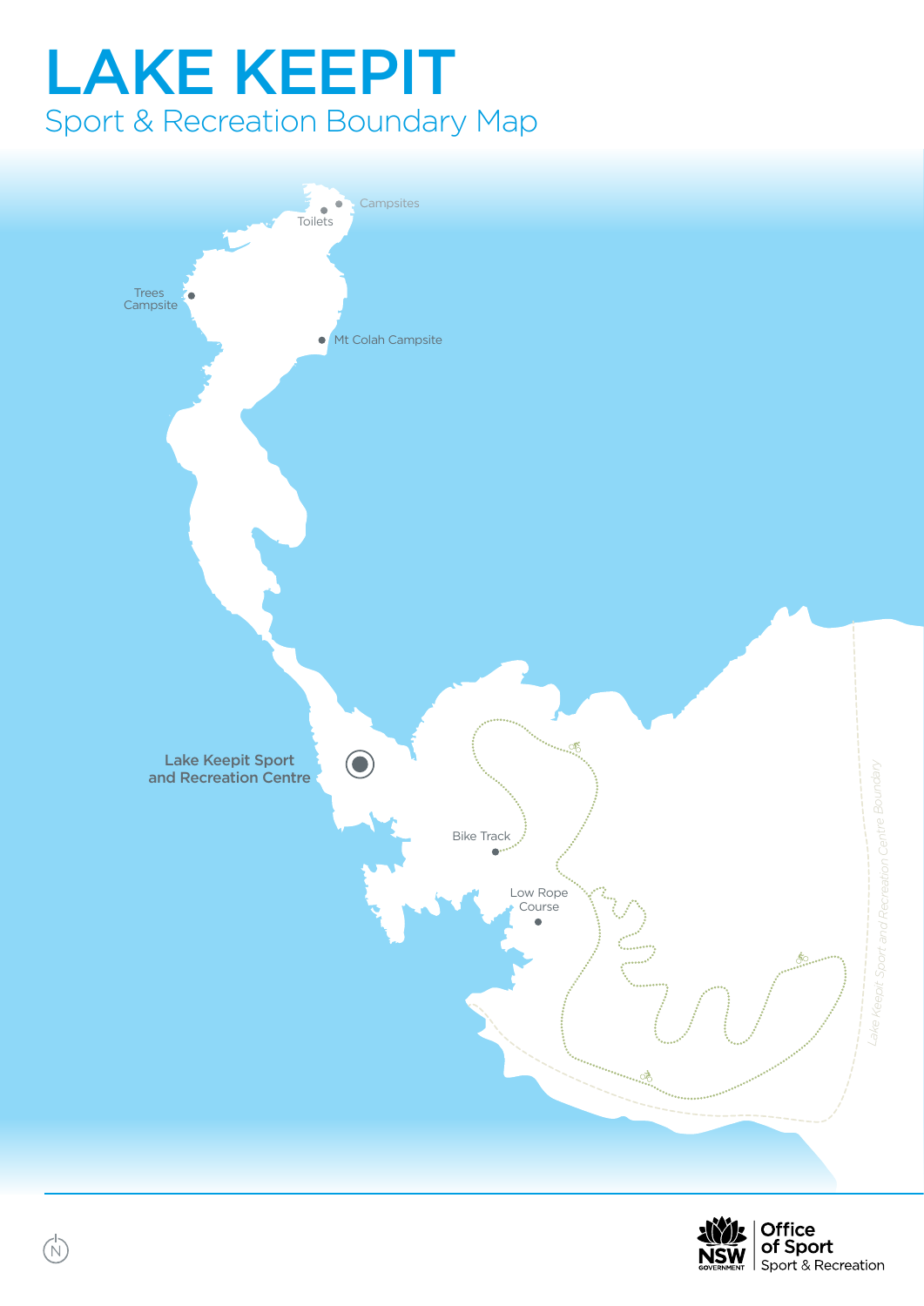# LAKE KEEPIT Sport & Recreation Boundary Map



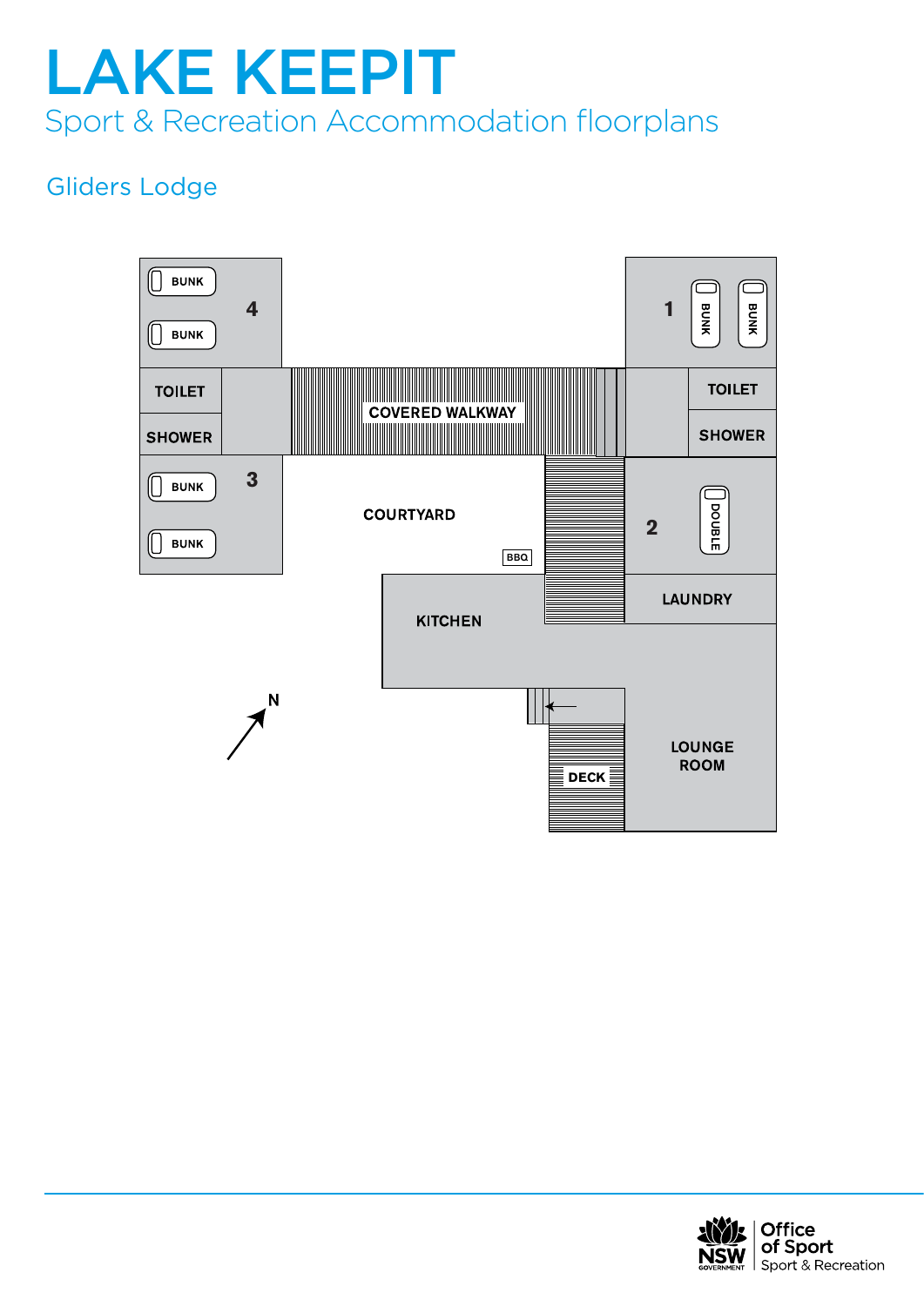### Gliders Lodge



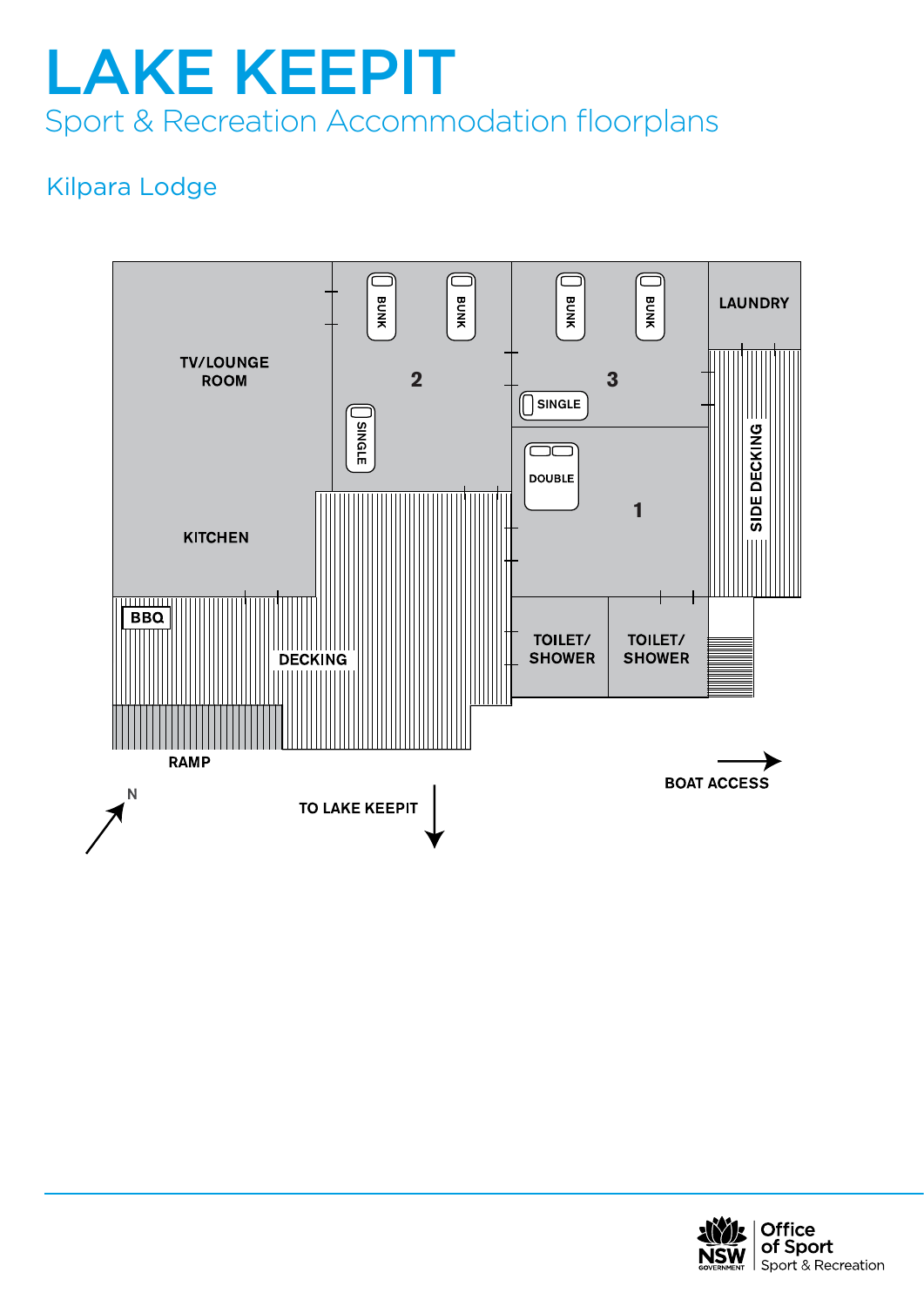### Kilpara Lodge



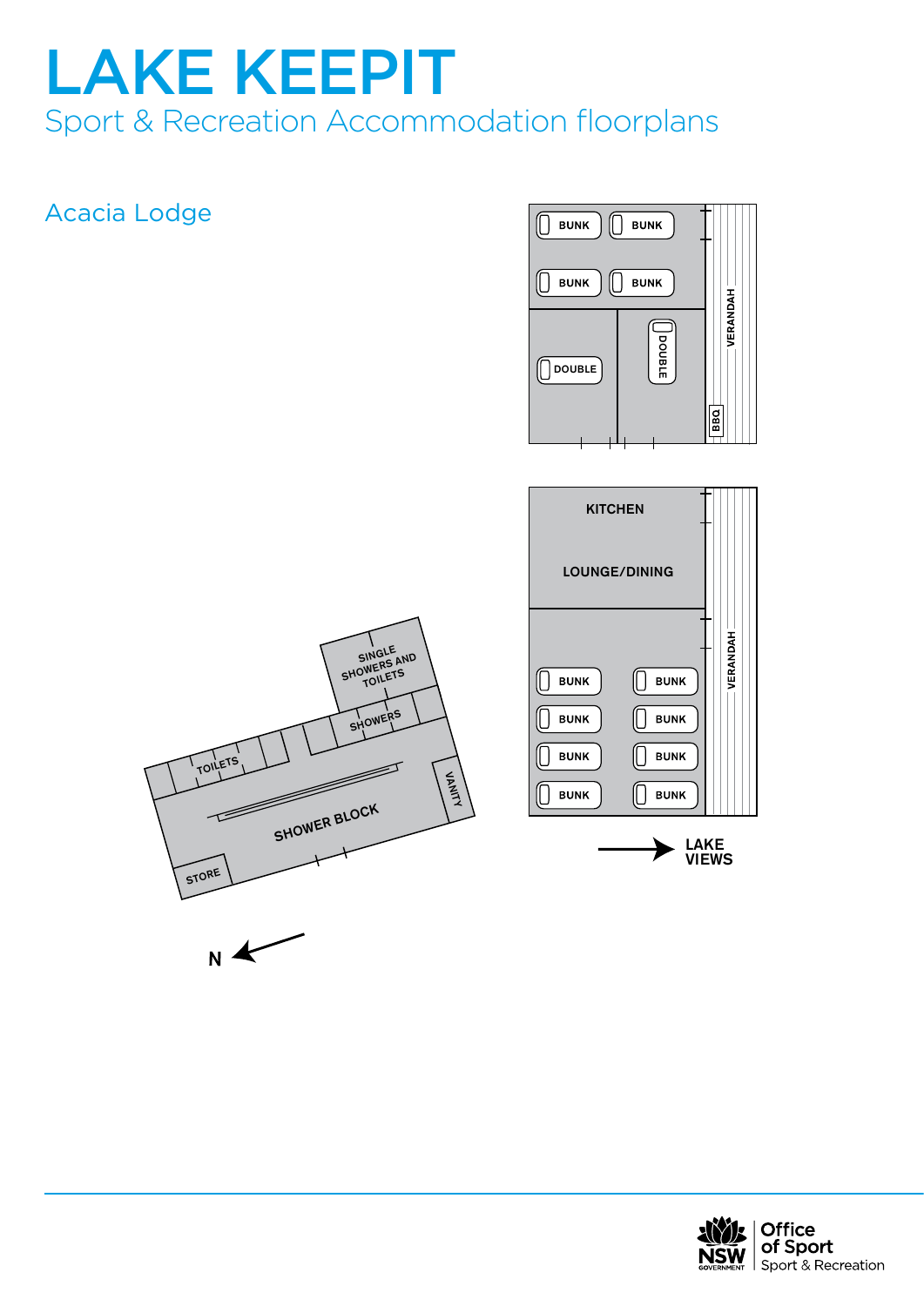#### Acacia Lodge





 $N$ 

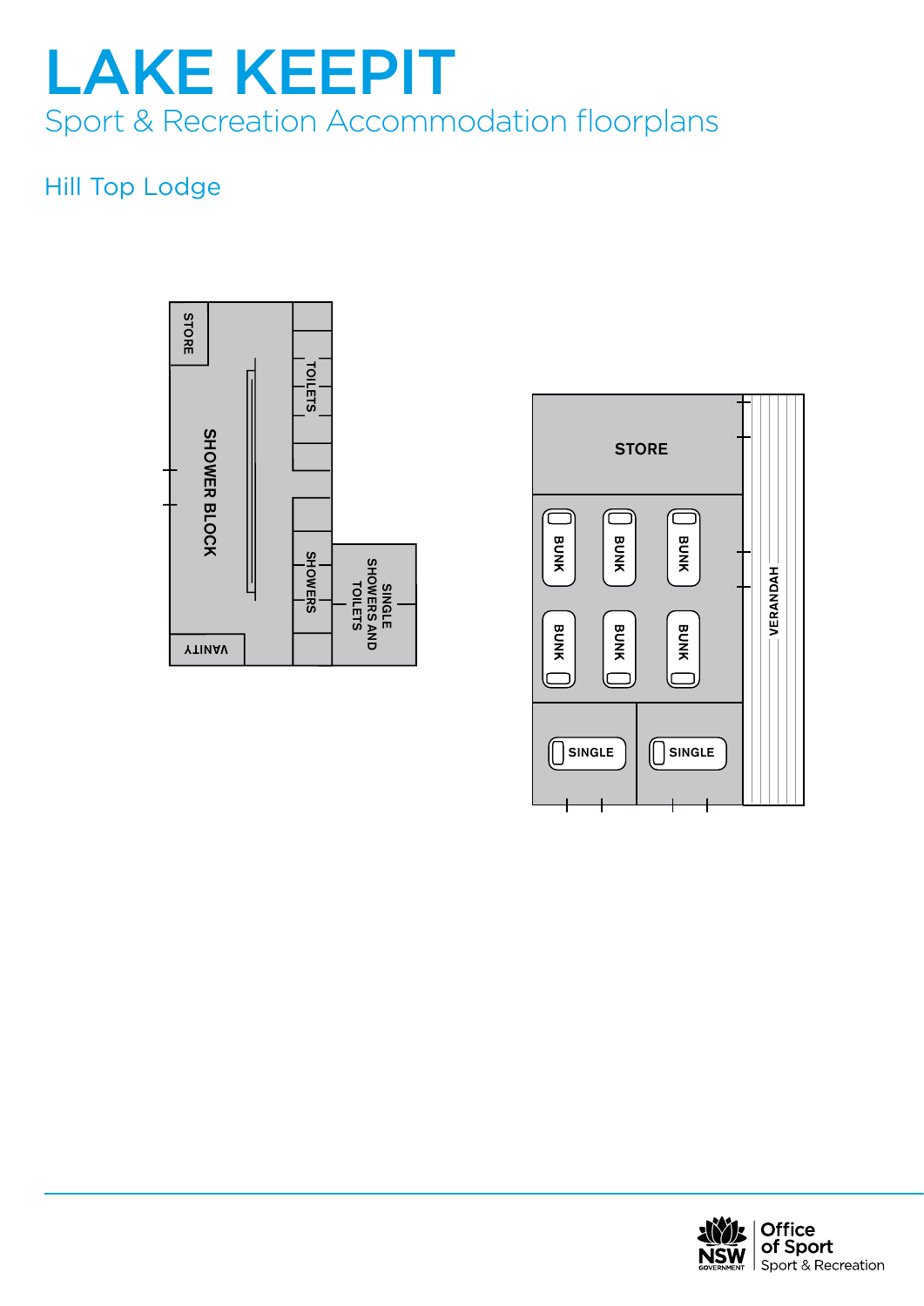### Hill Top Lodge





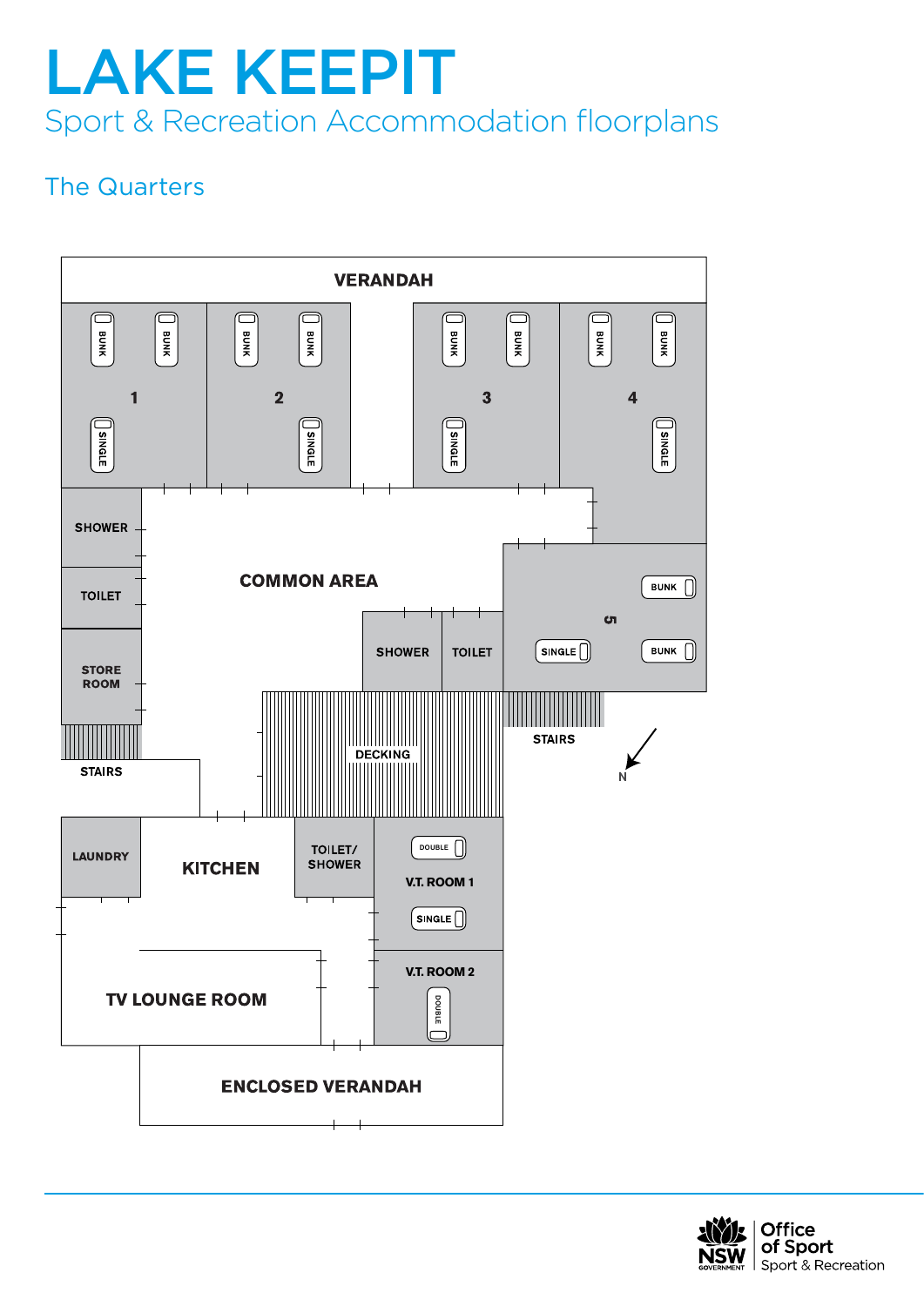#### The Quarters